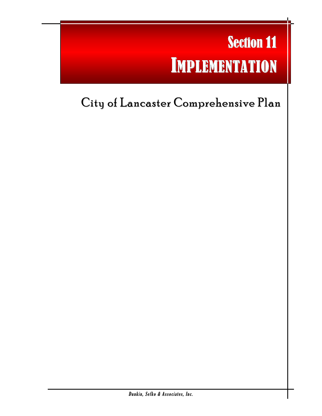# Section 11 IMPLEMENTATION

l

## City of Lancaster Comprehensive Plan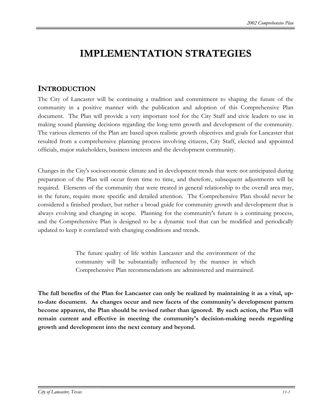### **IMPLEMENTATION STRATEGIES**

#### **INTRODUCTION**

The City of Lancaster will be continuing a tradition and commitment to shaping the future of the community in a positive manner with the publication and adoption of this Comprehensive Plan document. The Plan will provide a very important tool for the City Staff and civic leaders to use in making sound planning decisions regarding the long-term growth and development of the community. The various elements of the Plan are based upon realistic growth objectives and goals for Lancaster that resulted from a comprehensive planning process involving citizens, City Staff, elected and appointed officials, major stakeholders, business interests and the development community.

Changes in the City's socioeconomic climate and in development trends that were not anticipated during preparation of the Plan will occur from time to time, and therefore, subsequent adjustments will be required. Elements of the community that were treated in general relationship to the overall area may, in the future, require more specific and detailed attention. The Comprehensive Plan should never be considered a finished product, but rather a broad guide for community growth and development that is always evolving and changing in scope. Planning for the community's future is a continuing process, and the Comprehensive Plan is designed to be a dynamic tool that can be modified and periodically updated to keep it correlated with changing conditions and trends.

> The future quality of life within Lancaster and the environment of the community will be substantially influenced by the manner in which Comprehensive Plan recommendations are administered and maintained.

**The full benefits of the Plan for Lancaster can only be realized by maintaining it as a vital, upto-date document. As changes occur and new facets of the community's development pattern become apparent, the Plan should be revised rather than ignored. By such action, the Plan will remain current and effective in meeting the community's decision-making needs regarding growth and development into the next century and beyond.**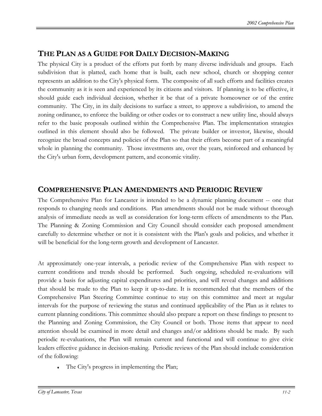#### **THE PLAN AS A GUIDE FOR DAILY DECISION-MAKING**

The physical City is a product of the efforts put forth by many diverse individuals and groups. Each subdivision that is platted, each home that is built, each new school, church or shopping center represents an addition to the City's physical form. The composite of all such efforts and facilities creates the community as it is seen and experienced by its citizens and visitors. If planning is to be effective, it should guide each individual decision, whether it be that of a private homeowner or of the entire community. The City, in its daily decisions to surface a street, to approve a subdivision, to amend the zoning ordinance, to enforce the building or other codes or to construct a new utility line, should always refer to the basic proposals outlined within the Comprehensive Plan. The implementation strategies outlined in this element should also be followed. The private builder or investor, likewise, should recognize the broad concepts and policies of the Plan so that their efforts become part of a meaningful whole in planning the community. Those investments are, over the years, reinforced and enhanced by the City's urban form, development pattern, and economic vitality.

#### **COMPREHENSIVE PLAN AMENDMENTS AND PERIODICREVIEW**

The Comprehensive Plan for Lancaster is intended to be a dynamic planning document -- one that responds to changing needs and conditions. Plan amendments should not be made without thorough analysis of immediate needs as well as consideration for long-term effects of amendments to the Plan. The Planning & Zoning Commission and City Council should consider each proposed amendment carefully to determine whether or not it is consistent with the Plan's goals and policies, and whether it will be beneficial for the long-term growth and development of Lancaster.

At approximately one-year intervals, a periodic review of the Comprehensive Plan with respect to current conditions and trends should be performed. Such ongoing, scheduled re-evaluations will provide a basis for adjusting capital expenditures and priorities, and will reveal changes and additions that should be made to the Plan to keep it up-to-date. It is recommended that the members of the Comprehensive Plan Steering Committee continue to stay on this committee and meet at regular intervals for the purpose of reviewing the status and continued applicability of the Plan as it relates to current planning conditions. This committee should also prepare a report on these findings to present to the Planning and Zoning Commission, the City Council or both. Those items that appear to need attention should be examined in more detail and changes and/or additions should be made. By such periodic re-evaluations, the Plan will remain current and functional and will continue to give civic leaders effective guidance in decision-making. Periodic reviews of the Plan should include consideration of the following:

The City's progress in implementing the Plan;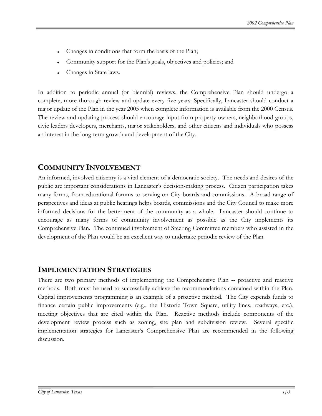- Changes in conditions that form the basis of the Plan;
- Community support for the Plan's goals, objectives and policies; and
- Changes in State laws.

In addition to periodic annual (or biennial) reviews, the Comprehensive Plan should undergo a complete, more thorough review and update every five years. Specifically, Lancaster should conduct a major update of the Plan in the year 2005 when complete information is available from the 2000 Census. The review and updating process should encourage input from property owners, neighborhood groups, civic leaders developers, merchants, major stakeholders, and other citizens and individuals who possess an interest in the long-term growth and development of the City.

#### **COMMUNITY INVOLVEMENT**

An informed, involved citizenry is a vital element of a democratic society. The needs and desires of the public are important considerations in Lancaster's decision-making process. Citizen participation takes many forms, from educational forums to serving on City boards and commissions. A broad range of perspectives and ideas at public hearings helps boards, commissions and the City Council to make more informed decisions for the betterment of the community as a whole. Lancaster should continue to encourage as many forms of community involvement as possible as the City implements its Comprehensive Plan. The continued involvement of Steering Committee members who assisted in the development of the Plan would be an excellent way to undertake periodic review of the Plan.

#### **IMPLEMENTATION STRATEGIES**

There are two primary methods of implementing the Comprehensive Plan -- proactive and reactive methods. Both must be used to successfully achieve the recommendations contained within the Plan. Capital improvements programming is an example of a proactive method. The City expends funds to finance certain public improvements (e.g., the Historic Town Square, utility lines, roadways, etc.), meeting objectives that are cited within the Plan. Reactive methods include components of the development review process such as zoning, site plan and subdivision review. Several specific implementation strategies for Lancaster's Comprehensive Plan are recommended in the following discussion.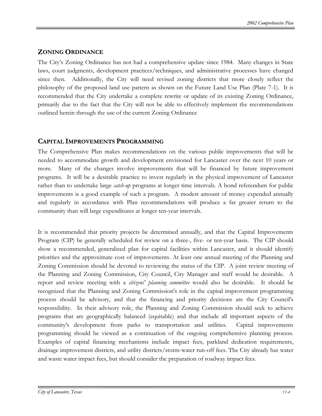#### **ZONING ORDINANCE**

The City's Zoning Ordinance has not had a comprehensive update since 1984. Many changes in State laws, court judgments, development practices/techniques, and administrative processes have changed since then. Additionally, the City will need revised zoning districts that more closely reflect the philosophy of the proposed land use pattern as shown on the Future Land Use Plan (Plate 7-1). It is recommended that the City undertake a complete rewrite or update of its existing Zoning Ordinance, primarily due to the fact that the City will not be able to effectively implement the recommendations outlined herein through the use of the current Zoning Ordinance

#### **CAPITAL IMPROVEMENTS PROGRAMMING**

The Comprehensive Plan makes recommendations on the various public improvements that will be needed to accommodate growth and development envisioned for Lancaster over the next 10 years or more. Many of the changes involve improvements that will be financed by future improvement programs. It will be a desirable practice to invest regularly in the physical improvement of Lancaster rather than to undertake large *catch-up* programs at longer time intervals. A bond referendum for public improvements is a good example of such a program. A modest amount of money expended annually and regularly in accordance with Plan recommendations will produce a far greater return to the community than will large expenditures at longer ten-year intervals.

It is recommended that priority projects be determined annually, and that the Capital Improvements Program (CIP) be generally scheduled for review on a three-, five- or ten-year basis. The CIP should show a recommended, generalized plan for capital facilities within Lancaster, and it should identify priorities and the approximate cost of improvements. At least one annual meeting of the Planning and Zoning Commission should be devoted to reviewing the status of the CIP. A joint review meeting of the Planning and Zoning Commission, City Council, City Manager and staff would be desirable. A report and review meeting with a *citizens' planning committee* would also be desirable. It should be recognized that the Planning and Zoning Commission's role in the capital improvement programming process should be advisory, and that the financing and priority decisions are the City Council's responsibility. In their advisory role, the Planning and Zoning Commission should seek to achieve programs that are geographically balanced (equitable) and that include all important aspects of the community's development from parks to transportation and utilities. Capital improvements programming should be viewed as a continuation of the ongoing comprehensive planning process. Examples of capital financing mechanisms include impact fees, parkland dedication requirements, drainage improvement districts, and utility districts/storm-water run-off fees. The City already has water and waste water impact fees, but should consider the preparation of roadway impact fees.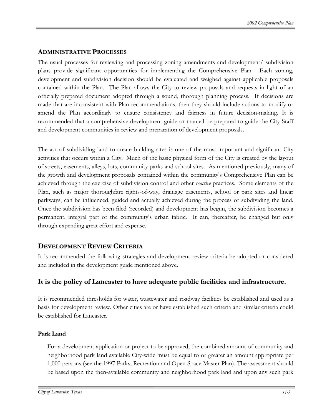#### **ADMINISTRATIVE PROCESSES**

The usual processes for reviewing and processing zoning amendments and development/ subdivision plans provide significant opportunities for implementing the Comprehensive Plan. Each zoning, development and subdivision decision should be evaluated and weighed against applicable proposals contained within the Plan. The Plan allows the City to review proposals and requests in light of an officially prepared document adopted through a sound, thorough planning process. If decisions are made that are inconsistent with Plan recommendations, then they should include actions to modify or amend the Plan accordingly to ensure consistency and fairness in future decision-making. It is recommended that a comprehensive development guide or manual be prepared to guide the City Staff and development communities in review and preparation of development proposals.

The act of subdividing land to create building sites is one of the most important and significant City activities that occurs within a City. Much of the basic physical form of the City is created by the layout of streets, easements, alleys, lots, community parks and school sites. As mentioned previously, many of the growth and development proposals contained within the community's Comprehensive Plan can be achieved through the exercise of subdivision control and other *reactive* practices. Some elements of the Plan, such as major thoroughfare rights-of-way, drainage easements, school or park sites and linear parkways, can be influenced, guided and actually achieved during the process of subdividing the land. Once the subdivision has been filed (recorded) and development has begun, the subdivision becomes a permanent, integral part of the community's urban fabric. It can, thereafter, be changed but only through expending great effort and expense.

#### **DEVELOPMENT REVIEW CRITERIA**

It is recommended the following strategies and development review criteria be adopted or considered and included in the development guide mentioned above.

#### **It is the policy of Lancaster to have adequate public facilities and infrastructure.**

It is recommended thresholds for water, wastewater and roadway facilities be established and used as a basis for development review. Other cities are or have established such criteria and similar criteria could be established for Lancaster.

#### **Park Land**

For a development application or project to be approved, the combined amount of community and neighborhood park land available City-wide must be equal to or greater an amount appropriate per 1,000 persons (see the 1997 Parks, Recreation and Open Space Master Plan). The assessment should be based upon the then-available community and neighborhood park land and upon any such park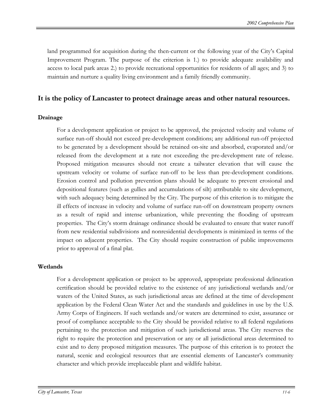land programmed for acquisition during the then-current or the following year of the City's Capital Improvement Program. The purpose of the criterion is 1.) to provide adequate availability and access to local park areas 2.) to provide recreational opportunities for residents of all ages; and 3) to maintain and nurture a quality living environment and a family friendly community.

#### **It is the policy of Lancaster to protect drainage areas and other natural resources.**

#### **Drainage**

For a development application or project to be approved, the projected velocity and volume of surface run-off should not exceed pre-development conditions; any additional run-off projected to be generated by a development should be retained on-site and absorbed, evaporated and/or released from the development at a rate not exceeding the pre-development rate of release. Proposed mitigation measures should not create a tailwater elevation that will cause the upstream velocity or volume of surface run-off to be less than pre-development conditions. Erosion control and pollution prevention plans should be adequate to prevent erosional and depositional features (such as gullies and accumulations of silt) attributable to site development, with such adequacy being determined by the City. The purpose of this criterion is to mitigate the ill effects of increase in velocity and volume of surface run-off on downstream property owners as a result of rapid and intense urbanization, while preventing the flooding of upstream properties. The City's storm drainage ordinance should be evaluated to ensure that water runoff from new residential subdivisions and nonresidential developments is minimized in terms of the impact on adjacent properties. The City should require construction of public improvements prior to approval of a final plat.

#### **Wetlands**

For a development application or project to be approved, appropriate professional delineation certification should be provided relative to the existence of any jurisdictional wetlands and/or waters of the United States, as such jurisdictional areas are defined at the time of development application by the Federal Clean Water Act and the standards and guidelines in use by the U.S. Army Corps of Engineers. If such wetlands and/or waters are determined to exist, assurance or proof of compliance acceptable to the City should be provided relative to all federal regulations pertaining to the protection and mitigation of such jurisdictional areas. The City reserves the right to require the protection and preservation or any or all jurisdictional areas determined to exist and to deny proposed mitigation measures. The purpose of this criterion is to protect the natural, scenic and ecological resources that are essential elements of Lancaster's community character and which provide irreplaceable plant and wildlife habitat.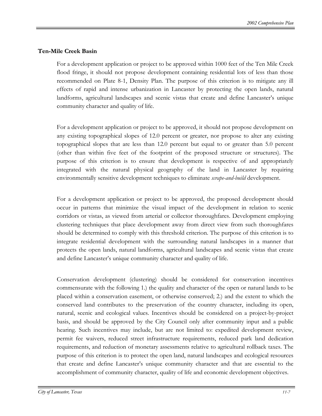#### **Ten-Mile Creek Basin**

For a development application or project to be approved within 1000 feet of the Ten Mile Creek flood fringe, it should not propose development containing residential lots of less than those recommended on Plate 8-1, Density Plan. The purpose of this criterion is to mitigate any ill effects of rapid and intense urbanization in Lancaster by protecting the open lands, natural landforms, agricultural landscapes and scenic vistas that create and define Lancaster's unique community character and quality of life.

For a development application or project to be approved, it should not propose development on any existing topographical slopes of 12.0 percent or greater, nor propose to alter any existing topographical slopes that are less than 12.0 percent but equal to or greater than 5.0 percent (other than within five feet of the footprint of the proposed structure or structures). The purpose of this criterion is to ensure that development is respective of and appropriately integrated with the natural physical geography of the land in Lancaster by requiring environmentally sensitive development techniques to eliminate *scrape-and-build* development.

For a development application or project to be approved, the proposed development should occur in patterns that minimize the visual impact of the development in relation to scenic corridors or vistas, as viewed from arterial or collector thoroughfares. Development employing clustering techniques that place development away from direct view from such thoroughfares should be determined to comply with this threshold criterion. The purpose of this criterion is to integrate residential development with the surrounding natural landscapes in a manner that protects the open lands, natural landforms, agricultural landscapes and scenic vistas that create and define Lancaster's unique community character and quality of life.

Conservation development (clustering) should be considered for conservation incentives commensurate with the following 1.) the quality and character of the open or natural lands to be placed within a conservation easement, or otherwise conserved; 2.) and the extent to which the conserved land contributes to the preservation of the country character, including its open, natural, scenic and ecological values. Incentives should be considered on a project-by-project basis, and should be approved by the City Council only after community input and a public hearing. Such incentives may include, but are not limited to: expedited development review, permit fee waivers, reduced street infrastructure requirements, reduced park land dedication requirements, and reduction of monetary assessments relative to agricultural rollback taxes. The purpose of this criterion is to protect the open land, natural landscapes and ecological resources that create and define Lancaster's unique community character and that are essential to the accomplishment of community character, quality of life and economic development objectives.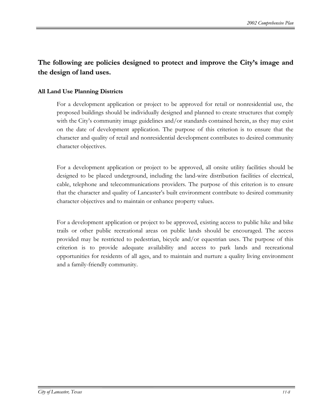#### **The following are policies designed to protect and improve the City's image and the design of land uses.**

#### **All Land Use Planning Districts**

For a development application or project to be approved for retail or nonresidential use, the proposed buildings should be individually designed and planned to create structures that comply with the City's community image guidelines and/or standards contained herein, as they may exist on the date of development application. The purpose of this criterion is to ensure that the character and quality of retail and nonresidential development contributes to desired community character objectives.

For a development application or project to be approved, all onsite utility facilities should be designed to be placed underground, including the land-wire distribution facilities of electrical, cable, telephone and telecommunications providers. The purpose of this criterion is to ensure that the character and quality of Lancaster's built environment contribute to desired community character objectives and to maintain or enhance property values.

For a development application or project to be approved, existing access to public hike and bike trails or other public recreational areas on public lands should be encouraged. The access provided may be restricted to pedestrian, bicycle and/or equestrian uses. The purpose of this criterion is to provide adequate availability and access to park lands and recreational opportunities for residents of all ages, and to maintain and nurture a quality living environment and a family-friendly community.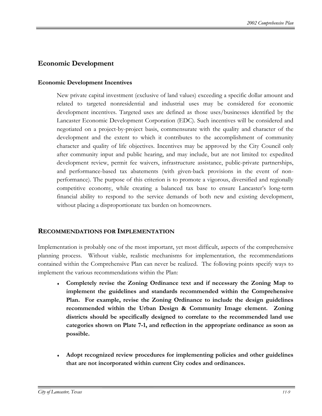#### **Economic Development**

#### **Economic Development Incentives**

New private capital investment (exclusive of land values) exceeding a specific dollar amount and related to targeted nonresidential and industrial uses may be considered for economic development incentives. Targeted uses are defined as those uses/businesses identified by the Lancaster Economic Development Corporation (EDC). Such incentives will be considered and negotiated on a project-by-project basis, commensurate with the quality and character of the development and the extent to which it contributes to the accomplishment of community character and quality of life objectives. Incentives may be approved by the City Council only after community input and public hearing, and may include, but are not limited to: expedited development review, permit fee waivers, infrastructure assistance, public-private partnerships, and performance-based tax abatements (with given-back provisions in the event of nonperformance). The purpose of this criterion is to promote a vigorous, diversified and regionally competitive economy, while creating a balanced tax base to ensure Lancaster's long-term financial ability to respond to the service demands of both new and existing development, without placing a disproportionate tax burden on homeowners.

#### **RECOMMENDATIONS FOR IMPLEMENTATION**

Implementation is probably one of the most important, yet most difficult, aspects of the comprehensive planning process. Without viable, realistic mechanisms for implementation, the recommendations contained within the Comprehensive Plan can never be realized. The following points specify ways to implement the various recommendations within the Plan:

- ♦ **Completely revise the Zoning Ordinance text and if necessary the Zoning Map to implement the guidelines and standards recommended within the Comprehensive Plan. For example, revise the Zoning Ordinance to include the design guidelines recommended within the Urban Design & Community Image element. Zoning districts should be specifically designed to correlate to the recommended land use categories shown on Plate 7-1, and reflection in the appropriate ordinance as soon as possible.**
- Adopt recognized review procedures for implementing policies and other guidelines **that are not incorporated within current City codes and ordinances.**